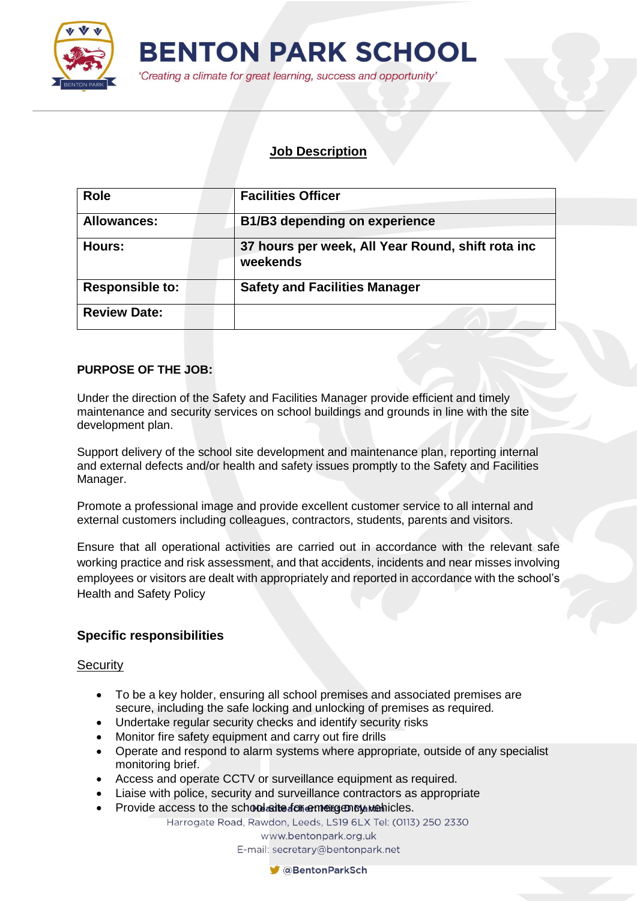

'Creating a climate for great learning, success and opportunity'

### **Job Description**

| Role                   | <b>Facilities Officer</b>                                     |
|------------------------|---------------------------------------------------------------|
| <b>Allowances:</b>     | <b>B1/B3 depending on experience</b>                          |
| Hours:                 | 37 hours per week, All Year Round, shift rota inc<br>weekends |
| <b>Responsible to:</b> | <b>Safety and Facilities Manager</b>                          |
| <b>Review Date:</b>    |                                                               |

#### **PURPOSE OF THE JOB:**

Under the direction of the Safety and Facilities Manager provide efficient and timely maintenance and security services on school buildings and grounds in line with the site development plan.

Support delivery of the school site development and maintenance plan, reporting internal and external defects and/or health and safety issues promptly to the Safety and Facilities Manager.

Promote a professional image and provide excellent customer service to all internal and external customers including colleagues, contractors, students, parents and visitors.

Ensure that all operational activities are carried out in accordance with the relevant safe working practice and risk assessment, and that accidents, incidents and near misses involving employees or visitors are dealt with appropriately and reported in accordance with the school's Health and Safety Policy

## **Specific responsibilities**

#### **Security**

- To be a key holder, ensuring all school premises and associated premises are secure, including the safe locking and unlocking of premises as required.
- Undertake regular security checks and identify security risks
- Monitor fire safety equipment and carry out fire drills
- Operate and respond to alarm systems where appropriate, outside of any specialist monitoring brief.
- Access and operate CCTV or surveillance equipment as required.
- Liaise with police, security and surveillance contractors as appropriate
- Provide access to the school site for emergency webicles.

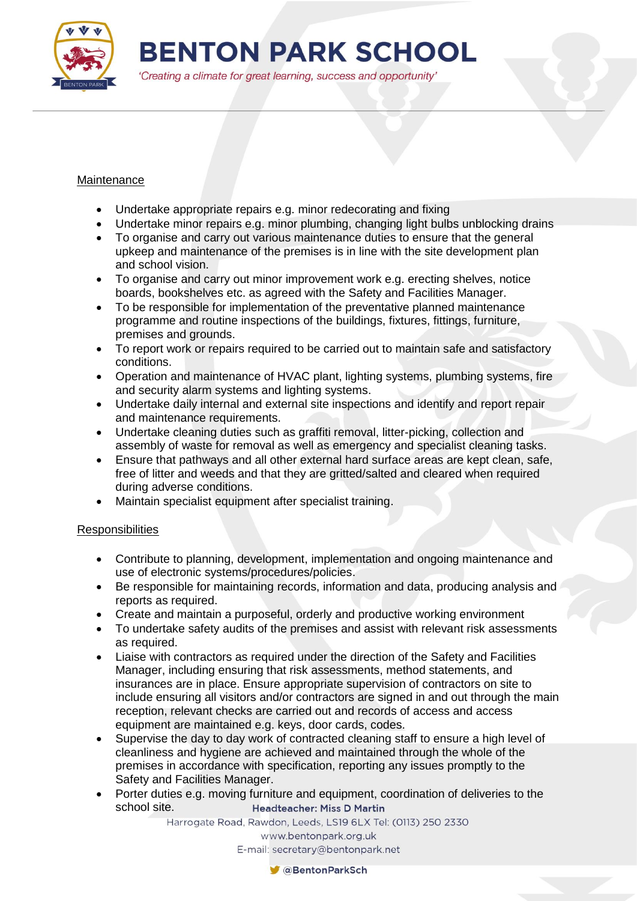

'Creating a climate for great learning, success and opportunity'

#### Maintenance

- Undertake appropriate repairs e.g. minor redecorating and fixing
- Undertake minor repairs e.g. minor plumbing, changing light bulbs unblocking drains
- To organise and carry out various maintenance duties to ensure that the general upkeep and maintenance of the premises is in line with the site development plan and school vision.
- To organise and carry out minor improvement work e.g. erecting shelves, notice boards, bookshelves etc. as agreed with the Safety and Facilities Manager.
- To be responsible for implementation of the preventative planned maintenance programme and routine inspections of the buildings, fixtures, fittings, furniture, premises and grounds.
- To report work or repairs required to be carried out to maintain safe and satisfactory conditions.
- Operation and maintenance of HVAC plant, lighting systems, plumbing systems, fire and security alarm systems and lighting systems.
- Undertake daily internal and external site inspections and identify and report repair and maintenance requirements.
- Undertake cleaning duties such as graffiti removal, litter-picking, collection and assembly of waste for removal as well as emergency and specialist cleaning tasks.
- Ensure that pathways and all other external hard surface areas are kept clean, safe, free of litter and weeds and that they are gritted/salted and cleared when required during adverse conditions.
- Maintain specialist equipment after specialist training.

#### **Responsibilities**

- Contribute to planning, development, implementation and ongoing maintenance and use of electronic systems/procedures/policies.
- Be responsible for maintaining records, information and data, producing analysis and reports as required.
- Create and maintain a purposeful, orderly and productive working environment
- To undertake safety audits of the premises and assist with relevant risk assessments as required.
- Liaise with contractors as required under the direction of the Safety and Facilities Manager, including ensuring that risk assessments, method statements, and insurances are in place. Ensure appropriate supervision of contractors on site to include ensuring all visitors and/or contractors are signed in and out through the main reception, relevant checks are carried out and records of access and access equipment are maintained e.g. keys, door cards, codes.
- Supervise the day to day work of contracted cleaning staff to ensure a high level of cleanliness and hygiene are achieved and maintained through the whole of the premises in accordance with specification, reporting any issues promptly to the Safety and Facilities Manager.
- Porter duties e.g. moving furniture and equipment, coordination of deliveries to the school site.**Headteacher: Miss D Martin**

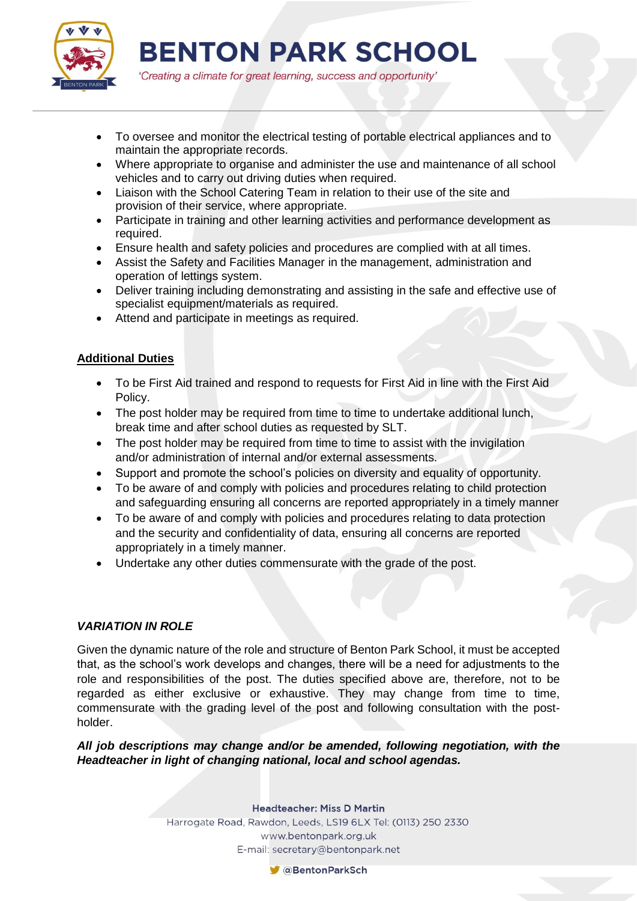

'Creating a climate for great learning, success and opportunity'

- To oversee and monitor the electrical testing of portable electrical appliances and to maintain the appropriate records.
- Where appropriate to organise and administer the use and maintenance of all school vehicles and to carry out driving duties when required.
- Liaison with the School Catering Team in relation to their use of the site and provision of their service, where appropriate.
- Participate in training and other learning activities and performance development as required.
- Ensure health and safety policies and procedures are complied with at all times.
- Assist the Safety and Facilities Manager in the management, administration and operation of lettings system.
- Deliver training including demonstrating and assisting in the safe and effective use of specialist equipment/materials as required.
- Attend and participate in meetings as required.

#### **Additional Duties**

- To be First Aid trained and respond to requests for First Aid in line with the First Aid Policy.
- The post holder may be required from time to time to undertake additional lunch, break time and after school duties as requested by SLT.
- The post holder may be required from time to time to assist with the invigilation and/or administration of internal and/or external assessments.
- Support and promote the school's policies on diversity and equality of opportunity.
- To be aware of and comply with policies and procedures relating to child protection and safeguarding ensuring all concerns are reported appropriately in a timely manner
- To be aware of and comply with policies and procedures relating to data protection and the security and confidentiality of data, ensuring all concerns are reported appropriately in a timely manner.
- Undertake any other duties commensurate with the grade of the post.

#### *VARIATION IN ROLE*

Given the dynamic nature of the role and structure of Benton Park School, it must be accepted that, as the school's work develops and changes, there will be a need for adjustments to the role and responsibilities of the post. The duties specified above are, therefore, not to be regarded as either exclusive or exhaustive. They may change from time to time, commensurate with the grading level of the post and following consultation with the postholder.

*All job descriptions may change and/or be amended, following negotiation, with the Headteacher in light of changing national, local and school agendas.*

**Headteacher: Miss D Martin** 

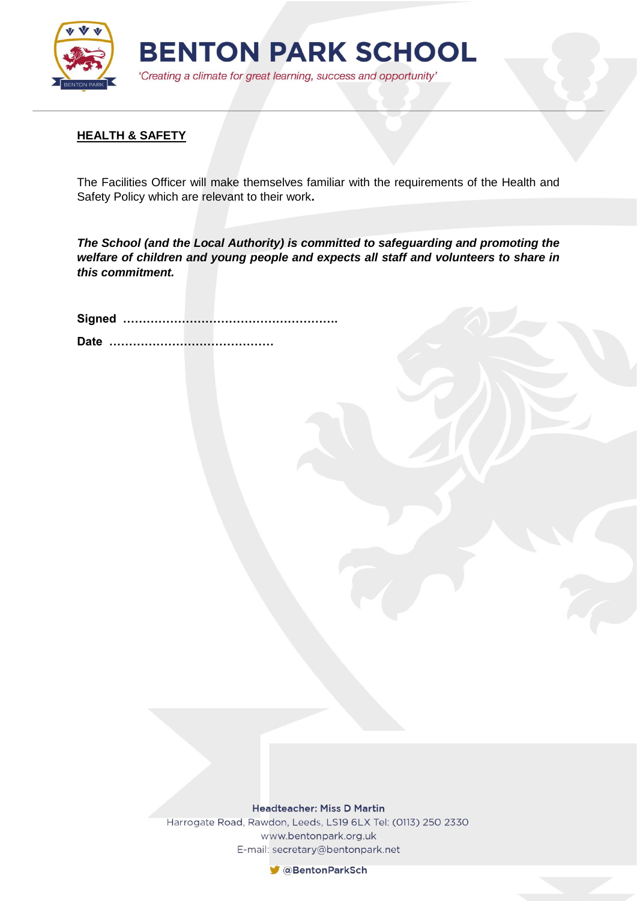

#### **HEALTH & SAFETY**

The Facilities Officer will make themselves familiar with the requirements of the Health and Safety Policy which are relevant to their work**.**

*The School (and the Local Authority) is committed to safeguarding and promoting the welfare of children and young people and expects all staff and volunteers to share in this commitment.*

**Headteacher: Miss D Martin** 

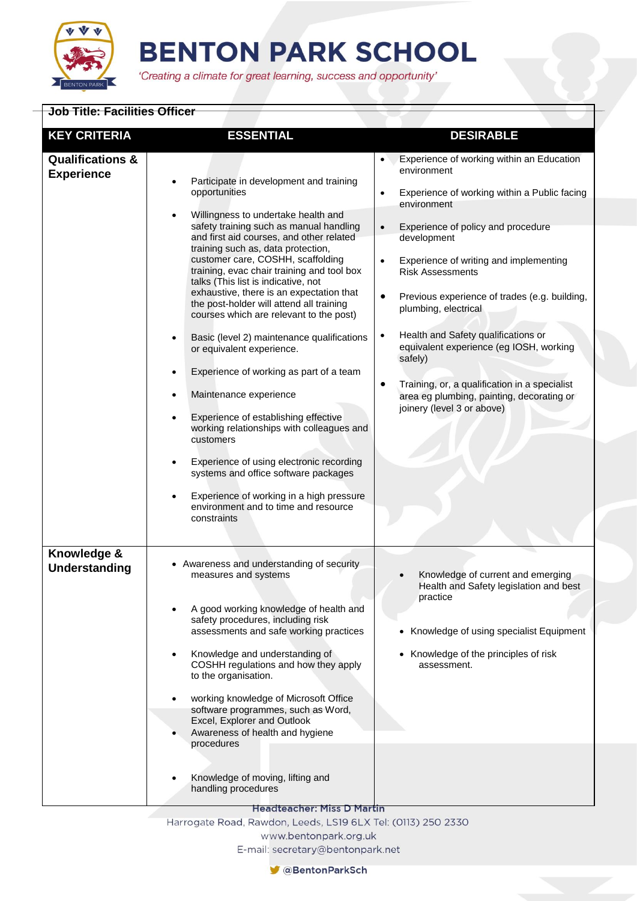

'Creating a climate for great learning, success and opportunity'

| <b>Job Title: Facilities Officer</b>             |                                                                                                                                                                                                                                                                                                                                                                                                                                                                                                                                                                                                                                                                                                                                                                                                                              |                                                                                                                                                                                                                                                                                                                                                                                                                                                                                                          |
|--------------------------------------------------|------------------------------------------------------------------------------------------------------------------------------------------------------------------------------------------------------------------------------------------------------------------------------------------------------------------------------------------------------------------------------------------------------------------------------------------------------------------------------------------------------------------------------------------------------------------------------------------------------------------------------------------------------------------------------------------------------------------------------------------------------------------------------------------------------------------------------|----------------------------------------------------------------------------------------------------------------------------------------------------------------------------------------------------------------------------------------------------------------------------------------------------------------------------------------------------------------------------------------------------------------------------------------------------------------------------------------------------------|
| <b>KEY CRITERIA</b>                              | <b>ESSENTIAL</b>                                                                                                                                                                                                                                                                                                                                                                                                                                                                                                                                                                                                                                                                                                                                                                                                             | <b>DESIRABLE</b>                                                                                                                                                                                                                                                                                                                                                                                                                                                                                         |
| <b>Qualifications &amp;</b><br><b>Experience</b> | Participate in development and training<br>opportunities                                                                                                                                                                                                                                                                                                                                                                                                                                                                                                                                                                                                                                                                                                                                                                     | Experience of working within an Education<br>$\bullet$<br>environment<br>Experience of working within a Public facing<br>$\bullet$                                                                                                                                                                                                                                                                                                                                                                       |
|                                                  | Willingness to undertake health and<br>safety training such as manual handling<br>and first aid courses, and other related<br>training such as, data protection,<br>customer care, COSHH, scaffolding<br>training, evac chair training and tool box<br>talks (This list is indicative, not<br>exhaustive, there is an expectation that<br>the post-holder will attend all training<br>courses which are relevant to the post)<br>Basic (level 2) maintenance qualifications<br>٠<br>or equivalent experience.<br>Experience of working as part of a team<br>$\bullet$<br>Maintenance experience<br>$\bullet$<br>Experience of establishing effective<br>$\bullet$<br>working relationships with colleagues and<br>customers<br>Experience of using electronic recording<br>$\bullet$<br>systems and office software packages | environment<br>Experience of policy and procedure<br>$\bullet$<br>development<br>Experience of writing and implementing<br>$\bullet$<br><b>Risk Assessments</b><br>$\bullet$<br>Previous experience of trades (e.g. building,<br>plumbing, electrical<br>Health and Safety qualifications or<br>$\bullet$<br>equivalent experience (eg IOSH, working<br>safely)<br>Training, or, a qualification in a specialist<br>$\bullet$<br>area eg plumbing, painting, decorating or<br>joinery (level 3 or above) |
|                                                  | Experience of working in a high pressure<br>environment and to time and resource<br>constraints                                                                                                                                                                                                                                                                                                                                                                                                                                                                                                                                                                                                                                                                                                                              |                                                                                                                                                                                                                                                                                                                                                                                                                                                                                                          |
| Knowledge &<br><b>Understanding</b>              | • Awareness and understanding of security<br>measures and systems<br>A good working knowledge of health and<br>safety procedures, including risk<br>assessments and safe working practices<br>Knowledge and understanding of<br>COSHH regulations and how they apply<br>to the organisation.<br>working knowledge of Microsoft Office<br>software programmes, such as Word,<br>Excel, Explorer and Outlook<br>Awareness of health and hygiene<br>procedures                                                                                                                                                                                                                                                                                                                                                                  | Knowledge of current and emerging<br>Health and Safety legislation and best<br>practice<br>• Knowledge of using specialist Equipment<br>• Knowledge of the principles of risk<br>assessment.                                                                                                                                                                                                                                                                                                             |
|                                                  | Knowledge of moving, lifting and<br>handling procedures<br><b>Headteacher: Miss D Martin</b>                                                                                                                                                                                                                                                                                                                                                                                                                                                                                                                                                                                                                                                                                                                                 |                                                                                                                                                                                                                                                                                                                                                                                                                                                                                                          |